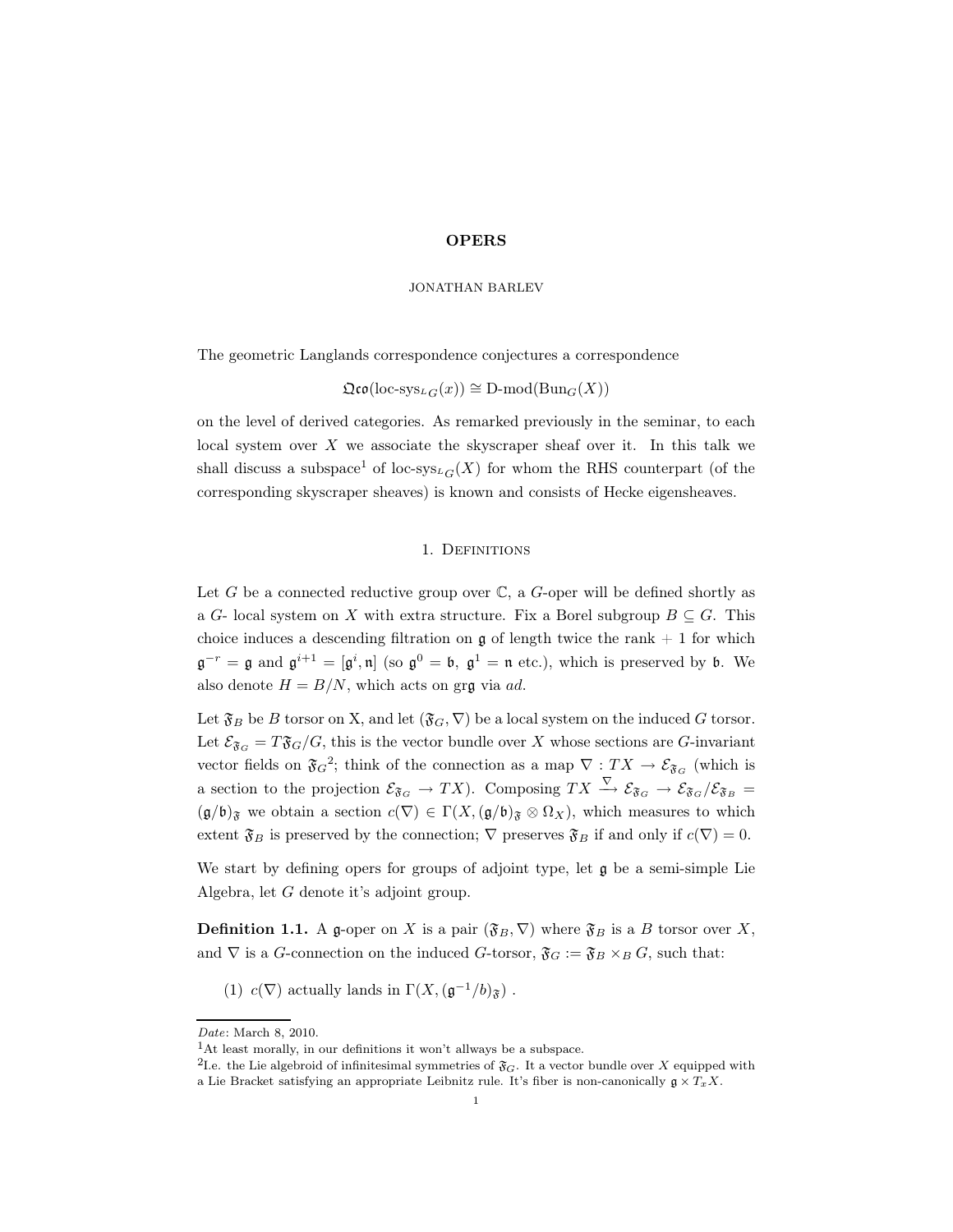### JONATHAN BARLEV

The geometric Langlands correspondence conjectures a correspondence

 $\mathfrak{Qco}(\text{loc-sys}_{LG}(x)) \cong D\text{-mod}(\text{Bun}_G(X))$ 

on the level of derived categories. As remarked previously in the seminar, to each local system over  $X$  we associate the skyscraper sheaf over it. In this talk we shall discuss a subspace<sup>1</sup> of loc-sys<sub>LG</sub>(X) for whom the RHS counterpart (of the corresponding skyscraper sheaves) is known and consists of Hecke eigensheaves.

## 1. Definitions

Let  $G$  be a connected reductive group over  $\mathbb{C}$ , a  $G$ -oper will be defined shortly as a G- local system on X with extra structure. Fix a Borel subgroup  $B \subseteq G$ . This choice induces a descending filtration on  $\mathfrak g$  of length twice the rank  $+1$  for which  $\mathfrak{g}^{-r} = \mathfrak{g}$  and  $\mathfrak{g}^{i+1} = [\mathfrak{g}^i, \mathfrak{n}]$  (so  $\mathfrak{g}^0 = \mathfrak{b}, \mathfrak{g}^1 = \mathfrak{n}$  etc.), which is preserved by  $\mathfrak{b}$ . We also denote  $H = B/N$ , which acts on grg via ad.

Let  $\mathfrak{F}_B$  be B torsor on X, and let  $(\mathfrak{F}_G,\nabla)$  be a local system on the induced G torsor. Let  $\mathcal{E}_{\mathfrak{F}_G} = T\mathfrak{F}_G/G$ , this is the vector bundle over X whose sections are G-invariant vector fields on  $\mathfrak{F}_G^2$ ; think of the connection as a map  $\nabla : TX \to \mathcal{E}_{\mathfrak{F}_G}$  (which is a section to the projection  $\mathcal{E}_{\mathfrak{F}_G} \to TX$ ). Composing  $TX \stackrel{\nabla}{\to} \mathcal{E}_{\mathfrak{F}_G} \to \mathcal{E}_{\mathfrak{F}_G}/\mathcal{E}_{\mathfrak{F}_B} =$  $(\mathfrak{g}/\mathfrak{b})_{\mathfrak{F}}$  we obtain a section  $c(\nabla) \in \Gamma(X, (\mathfrak{g}/\mathfrak{b})_{\mathfrak{F}} \otimes \Omega_X)$ , which measures to which extent  $\mathfrak{F}_B$  is preserved by the connection;  $\nabla$  preserves  $\mathfrak{F}_B$  if and only if  $c(\nabla)=0$ .

We start by defining opers for groups of adjoint type, let  $\mathfrak g$  be a semi-simple Lie Algebra, let G denote it's adjoint group.

**Definition 1.1.** A g-oper on X is a pair  $(\mathfrak{F}_B, \nabla)$  where  $\mathfrak{F}_B$  is a B torsor over X, and  $\nabla$  is a G-connection on the induced G-torsor,  $\mathfrak{F}_G := \mathfrak{F}_B \times_B G$ , such that:

(1)  $c(\nabla)$  actually lands in  $\Gamma(X,(\mathfrak{g}^{-1}/b)_{\mathfrak{F}})$ .

Date: March 8, 2010.

<sup>1</sup>At least morally, in our definitions it won't allways be a subspace.

<sup>&</sup>lt;sup>2</sup>I.e. the Lie algebroid of infinitesimal symmetries of  $\mathfrak{F}_G$ . It a vector bundle over X equipped with a Lie Bracket satisfying an appropriate Leibnitz rule. It's fiber is non-canonically  $\mathfrak{g} \times T_xX$ .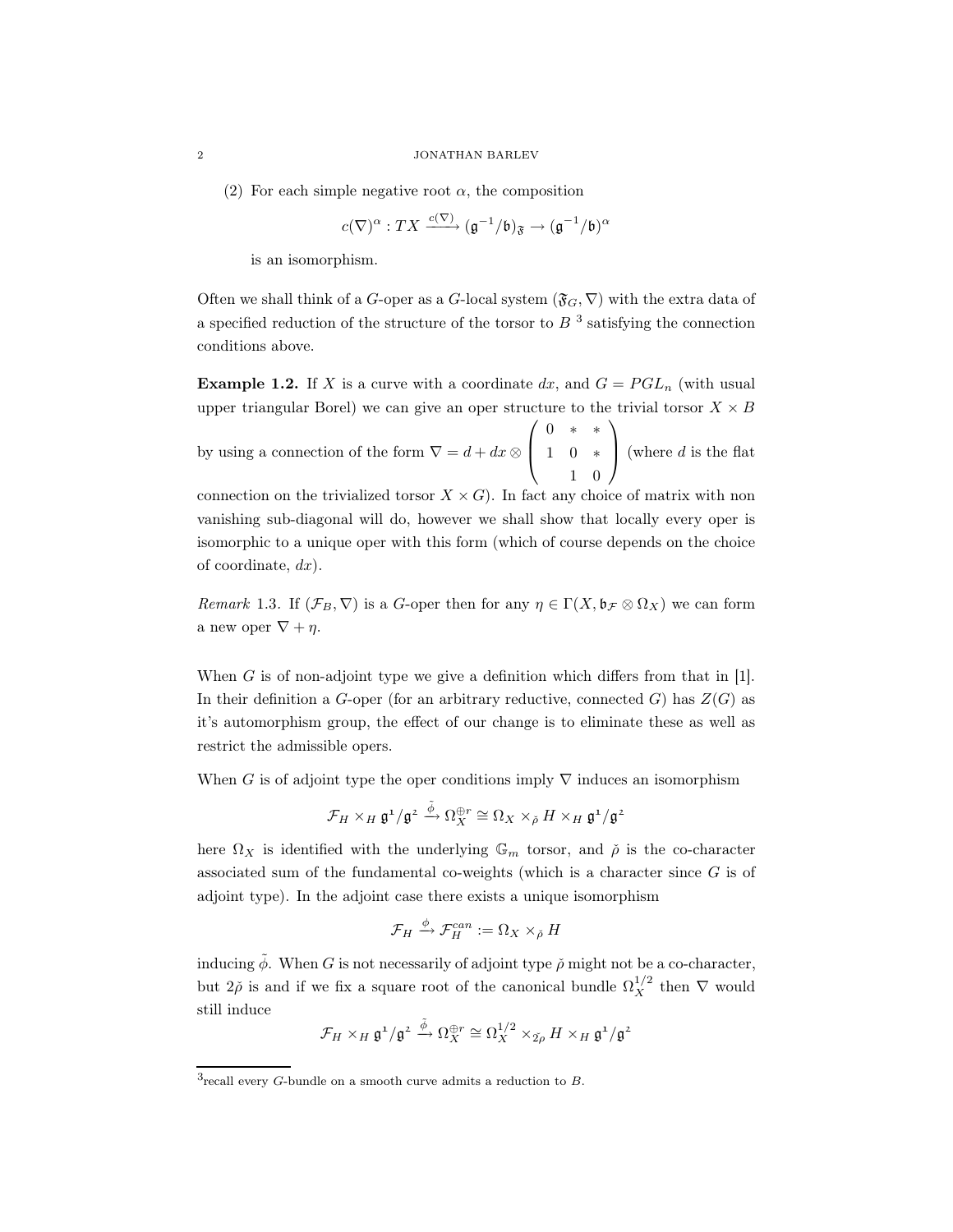(2) For each simple negative root  $\alpha$ , the composition

$$
c(\nabla)^{\alpha}:TX \xrightarrow{c(\nabla)} (\mathfrak{g}^{-1}/\mathfrak{b})_{\mathfrak{F}} \to (\mathfrak{g}^{-1}/\mathfrak{b})^{\alpha}
$$

is an isomorphism.

Often we shall think of a G-oper as a G-local system  $(\mathfrak{F}_G, \nabla)$  with the extra data of a specified reduction of the structure of the torsor to  $B<sup>3</sup>$  satisfying the connection conditions above.

**Example 1.2.** If X is a curve with a coordinate dx, and  $G = PGL_n$  (with usual upper triangular Borel) we can give an oper structure to the trivial torsor  $X \times B$ 

by using a connection of the form  $\nabla = d + dx \otimes$  $\sqrt{ }$  $\overline{ }$ 0 ∗ ∗ 1 0 ∗ 1 0  $\setminus$ (where  $d$  is the flat

connection on the trivialized torsor  $X \times G$ ). In fact any choice of matrix with non vanishing sub-diagonal will do, however we shall show that locally every oper is isomorphic to a unique oper with this form (which of course depends on the choice of coordinate,  $dx$ ).

*Remark* 1.3. If  $(\mathcal{F}_B, \nabla)$  is a *G*-oper then for any  $\eta \in \Gamma(X, \mathfrak{b}_{\mathcal{F}} \otimes \Omega_X)$  we can form a new oper  $\nabla + \eta$ .

When G is of non-adjoint type we give a definition which differs from that in  $[1]$ . In their definition a G-oper (for an arbitrary reductive, connected G) has  $Z(G)$  as it's automorphism group, the effect of our change is to eliminate these as well as restrict the admissible opers.

When G is of adjoint type the oper conditions imply  $\nabla$  induces an isomorphism

$$
\mathcal{F}_H\times_H\mathfrak{g}^1/\mathfrak{g}^2\stackrel{\tilde{\phi}}{\longrightarrow}\Omega_X^{\oplus r}\cong \Omega_X\times_{\check{\rho}}H\times_H\mathfrak{g}^1/\mathfrak{g}^2
$$

here  $\Omega_X$  is identified with the underlying  $\mathbb{G}_m$  torsor, and  $\check{\rho}$  is the co-character associated sum of the fundamental co-weights (which is a character since  $G$  is of adjoint type). In the adjoint case there exists a unique isomorphism

$$
\mathcal{F}_H \xrightarrow{\phi} \mathcal{F}_H^{can} := \Omega_X \times_{\check{\rho}} H
$$

inducing  $\tilde{\phi}$ . When G is not necessarily of adjoint type  $\tilde{\rho}$  might not be a co-character, but  $2\tilde{\rho}$  is and if we fix a square root of the canonical bundle  $\Omega_X^{1/2}$  then  $\nabla$  would still induce

$$
\mathcal{F}_H\times_H\mathfrak{g}^1/\mathfrak{g}^2\stackrel{\tilde{\phi}}{\longrightarrow}\Omega_X^{\oplus r}\cong \Omega_X^{1/2}\times_{\tilde{2\rho}}H\times_H\mathfrak{g}^1/\mathfrak{g}^2
$$

 $3$ recall every G-bundle on a smooth curve admits a reduction to B.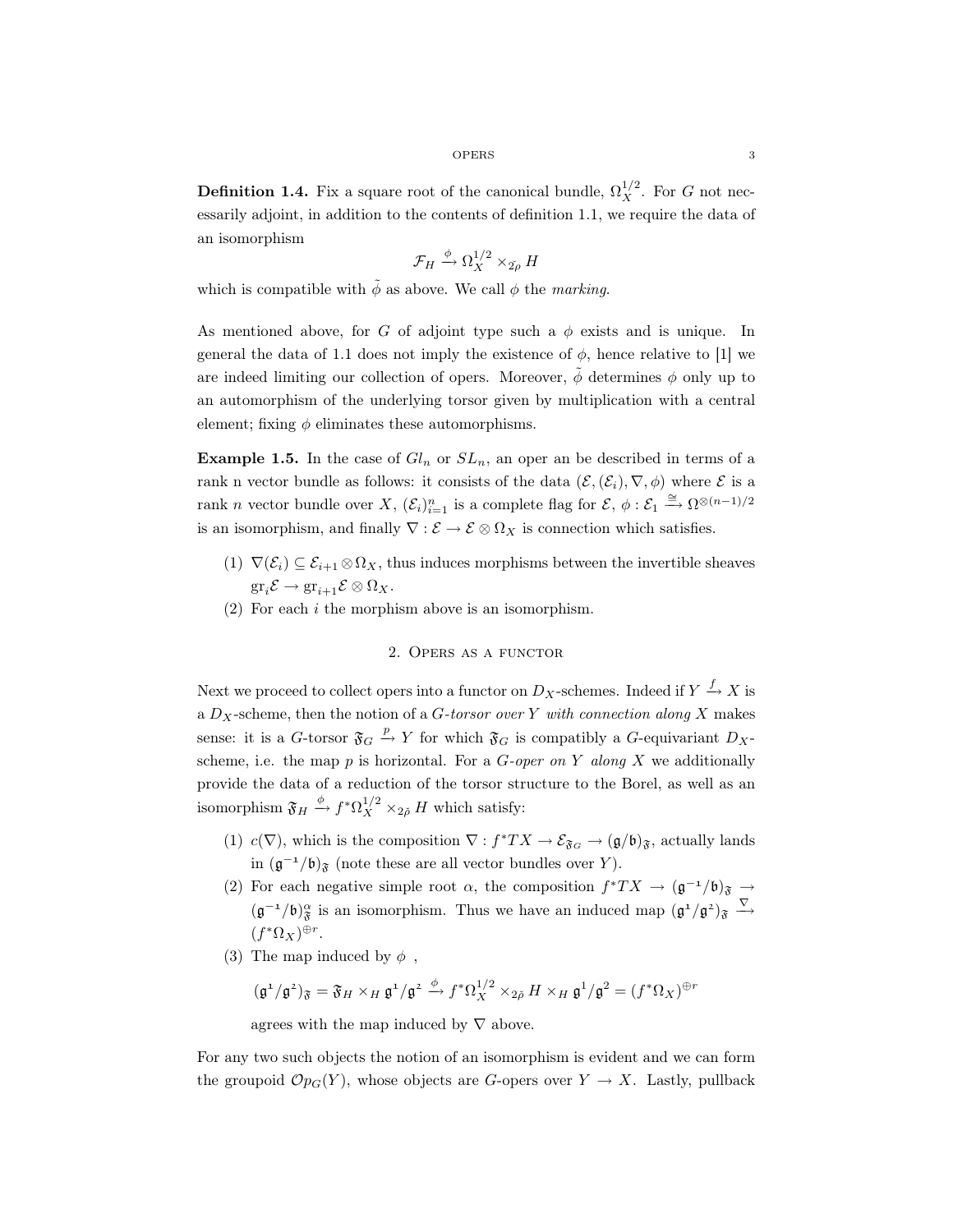**Definition 1.4.** Fix a square root of the canonical bundle,  $\Omega_X^{1/2}$ . For G not necessarily adjoint, in addition to the contents of definition 1.1, we require the data of an isomorphism

$$
\mathcal{F}_H \xrightarrow{\phi} \Omega_X^{1/2} \times_{\check{\mathbf{2\rho}}} H
$$

which is compatible with  $\tilde{\phi}$  as above. We call  $\phi$  the marking.

As mentioned above, for G of adjoint type such a  $\phi$  exists and is unique. In general the data of 1.1 does not imply the existence of  $\phi$ , hence relative to [1] we are indeed limiting our collection of opers. Moreover,  $\phi$  determines  $\phi$  only up to an automorphism of the underlying torsor given by multiplication with a central element; fixing  $\phi$  eliminates these automorphisms.

**Example 1.5.** In the case of  $Gl_n$  or  $SL_n$ , an oper an be described in terms of a rank n vector bundle as follows: it consists of the data  $(\mathcal{E},(\mathcal{E}_i), \nabla, \phi)$  where  $\mathcal E$  is a rank *n* vector bundle over X,  $(\mathcal{E}_i)_{i=1}^n$  is a complete flag for  $\mathcal{E}, \phi : \mathcal{E}_1 \xrightarrow{\cong} \Omega^{\otimes (n-1)/2}$ is an isomorphism, and finally  $\nabla : \mathcal{E} \to \mathcal{E} \otimes \Omega_X$  is connection which satisfies.

- (1)  $\nabla(\mathcal{E}_i) \subseteq \mathcal{E}_{i+1} \otimes \Omega_X$ , thus induces morphisms between the invertible sheaves  $\operatorname{gr}_i \mathcal{E} \to \operatorname{gr}_{i+1} \mathcal{E} \otimes \Omega_X.$
- (2) For each i the morphism above is an isomorphism.

#### 2. Opers as a functor

Next we proceed to collect opers into a functor on  $D_X$ -schemes. Indeed if  $Y \stackrel{f}{\rightarrow} X$  is a  $D_X$ -scheme, then the notion of a *G*-torsor over Y with connection along X makes sense: it is a G-torsor  $\mathfrak{F}_G \stackrel{p}{\rightarrow} Y$  for which  $\mathfrak{F}_G$  is compatibly a G-equivariant  $D_X$ scheme, i.e. the map  $p$  is horizontal. For a  $G\text{-}oper\ on\ Y\ along\ X$  we additionally provide the data of a reduction of the torsor structure to the Borel, as well as an isomorphism  $\mathfrak{F}_H \stackrel{\phi}{\rightarrow} f^* \Omega_X^{1/2} \times_{2\check{\rho}} H$  which satisfy:

- (1)  $c(\nabla)$ , which is the composition  $\nabla : f^*TX \to \mathcal{E}_{\mathfrak{F}_G} \to (\mathfrak{g}/\mathfrak{b})_{\mathfrak{F}}$ , actually lands in  $(\mathfrak{g}^{-1}/\mathfrak{b})$ <sub>§</sub> (note these are all vector bundles over Y).
- (2) For each negative simple root  $\alpha$ , the composition  $f^*TX \to (\mathfrak{g}^{-1}/\mathfrak{b})_{\mathfrak{F}} \to$  $(\mathfrak{g}^{-1}/\mathfrak{b})^{\alpha}_{\mathfrak{F}}$  is an isomorphism. Thus we have an induced map  $(\mathfrak{g}^1/\mathfrak{g}^2)_{\mathfrak{F}} \overset{\nabla}{\longrightarrow}$  $(f^*\Omega_X)^{\oplus r}.$
- (3) The map induced by  $\phi$ ,

$$
(\mathfrak{g}^1/\mathfrak{g}^2)_{\mathfrak{F}} = \mathfrak{F}_H \times_H \mathfrak{g}^1/\mathfrak{g}^2 \xrightarrow{\phi} f^* \Omega_X^{1/2} \times_{2\tilde{\rho}} H \times_H \mathfrak{g}^1/\mathfrak{g}^2 = (f^* \Omega_X)^{\oplus r}
$$

agrees with the map induced by  $\nabla$  above.

For any two such objects the notion of an isomorphism is evident and we can form the groupoid  $\mathcal{O}_{\mathcal{P}_G}(Y)$ , whose objects are G-opers over  $Y \to X$ . Lastly, pullback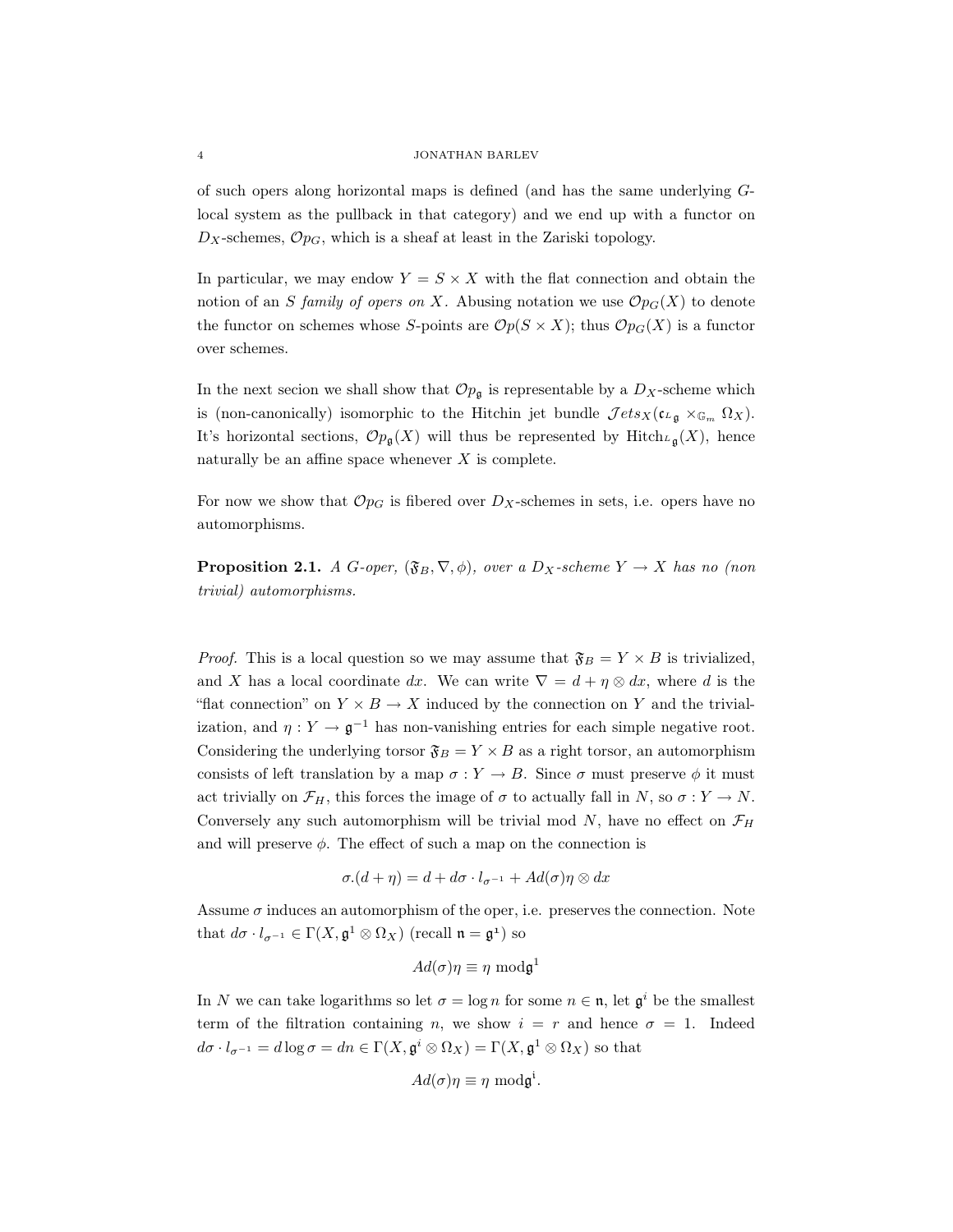#### 4 JONATHAN BARLEV

of such opers along horizontal maps is defined (and has the same underlying Glocal system as the pullback in that category) and we end up with a functor on  $D_X$ -schemes,  $Op_G$ , which is a sheaf at least in the Zariski topology.

In particular, we may endow  $Y = S \times X$  with the flat connection and obtain the notion of an S family of opers on X. Abusing notation we use  $\mathcal{O}_{p_1}(X)$  to denote the functor on schemes whose S-points are  $\mathcal{O}p(S \times X)$ ; thus  $\mathcal{O}p_G(X)$  is a functor over schemes.

In the next secion we shall show that  $\mathcal{O}_{p_{\mathfrak{g}}}$  is representable by a  $D_X$ -scheme which is (non-canonically) isomorphic to the Hitchin jet bundle  $\mathcal{J}ets_X(c_{L_{\mathfrak{a}}}\times_{\mathbb{G}_m}\Omega_X)$ . It's horizontal sections,  $\mathcal{O}_{p_{\mathfrak{q}}}(X)$  will thus be represented by Hitch $L_{\mathfrak{q}}(X)$ , hence naturally be an affine space whenever  $X$  is complete.

For now we show that  $\mathcal{O}_{PG}$  is fibered over  $D_X$ -schemes in sets, i.e. opers have no automorphisms.

**Proposition 2.1.** A G-oper,  $(\mathfrak{F}_B, \nabla, \phi)$ , over a  $D_X$ -scheme  $Y \to X$  has no (non trivial) automorphisms.

*Proof.* This is a local question so we may assume that  $\mathfrak{F}_B = Y \times B$  is trivialized, and X has a local coordinate dx. We can write  $\nabla = d + \eta \otimes dx$ , where d is the "flat connection" on  $Y \times B \to X$  induced by the connection on Y and the trivialization, and  $\eta: Y \to \mathfrak{g}^{-1}$  has non-vanishing entries for each simple negative root. Considering the underlying torsor  $\mathfrak{F}_B = Y \times B$  as a right torsor, an automorphism consists of left translation by a map  $\sigma : Y \to B$ . Since  $\sigma$  must preserve  $\phi$  it must act trivially on  $\mathcal{F}_H$ , this forces the image of  $\sigma$  to actually fall in N, so  $\sigma: Y \to N$ . Conversely any such automorphism will be trivial mod N, have no effect on  $\mathcal{F}_H$ and will preserve  $\phi$ . The effect of such a map on the connection is

$$
\sigma.(d+\eta) = d + d\sigma \cdot l_{\sigma^{-1}} + Ad(\sigma)\eta \otimes dx
$$

Assume  $\sigma$  induces an automorphism of the oper, i.e. preserves the connection. Note that  $d\sigma \cdot l_{\sigma^{-1}} \in \Gamma(X, \mathfrak{g}^1 \otimes \Omega_X)$  (recall  $\mathfrak{n} = \mathfrak{g}^1$ ) so

$$
Ad(\sigma)\eta \equiv \eta \,\,{\rm mod}\mathfrak{g}^1
$$

In N we can take logarithms so let  $\sigma = \log n$  for some  $n \in \mathfrak{n}$ , let  $\mathfrak{g}^i$  be the smallest term of the filtration containing n, we show  $i = r$  and hence  $\sigma = 1$ . Indeed  $d\sigma \cdot l_{\sigma^{-1}} = d \log \sigma = dn \in \Gamma(X, \mathfrak{g}^i \otimes \Omega_X) = \Gamma(X, \mathfrak{g}^1 \otimes \Omega_X)$  so that

$$
Ad(\sigma)\eta \equiv \eta \text{ mod } \mathfrak{g}^{\mathfrak{i}}.
$$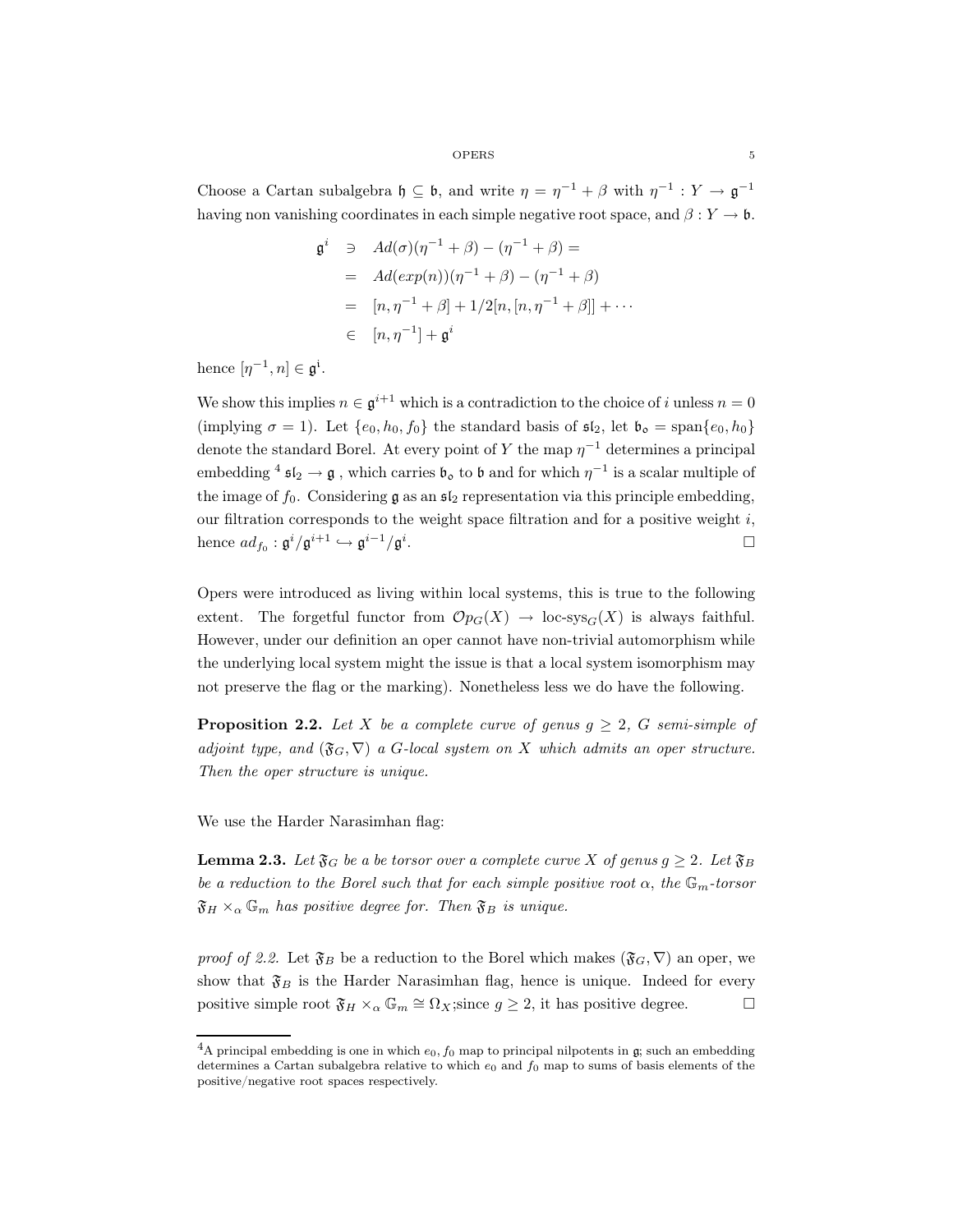Choose a Cartan subalgebra  $\mathfrak{h} \subseteq \mathfrak{b}$ , and write  $\eta = \eta^{-1} + \beta$  with  $\eta^{-1} : Y \to \mathfrak{g}^{-1}$ having non vanishing coordinates in each simple negative root space, and  $\beta: Y \to \mathfrak{b}$ .

$$
\mathfrak{g}^{i} \ni Ad(\sigma)(\eta^{-1} + \beta) - (\eta^{-1} + \beta) =
$$
  
=  $Ad(exp(n))(\eta^{-1} + \beta) - (\eta^{-1} + \beta)$   
=  $[n, \eta^{-1} + \beta] + 1/2[n, [n, \eta^{-1} + \beta]] + \cdots$   
 $\in [n, \eta^{-1}] + \mathfrak{g}^{i}$ 

hence  $[\eta^{-1}, n] \in \mathfrak{g}^{\mathfrak{i}}$ .

We show this implies  $n \in \mathfrak{g}^{i+1}$  which is a contradiction to the choice of i unless  $n = 0$ (implying  $\sigma = 1$ ). Let  $\{e_0, h_0, f_0\}$  the standard basis of  $\mathfrak{sl}_2$ , let  $\mathfrak{b}_o = \text{span}\{e_0, h_0\}$ denote the standard Borel. At every point of Y the map  $\eta^{-1}$  determines a principal embedding <sup>4</sup>  $\mathfrak{sl}_2 \to \mathfrak{g}$ , which carries  $\mathfrak{b}_0$  to  $\mathfrak{b}$  and for which  $\eta^{-1}$  is a scalar multiple of the image of  $f_0$ . Considering  $\mathfrak g$  as an  $\mathfrak {sl}_2$  representation via this principle embedding, our filtration corresponds to the weight space filtration and for a positive weight  $i$ , hence  $ad_{f_0}: \mathfrak{g}^i/\mathfrak{g}^{i+1} \hookrightarrow \mathfrak{g}^{i-1}/\mathfrak{g}^i$ . The contract of the contract of  $\Box$ 

Opers were introduced as living within local systems, this is true to the following extent. The forgetful functor from  $\mathcal{O}_{PG}(X) \to \text{loc-sys}_{G}(X)$  is always faithful. However, under our definition an oper cannot have non-trivial automorphism while the underlying local system might the issue is that a local system isomorphism may not preserve the flag or the marking). Nonetheless less we do have the following.

**Proposition 2.2.** Let X be a complete curve of genus  $g \geq 2$ , G semi-simple of adjoint type, and  $(\mathfrak{F}_G, \nabla)$  a G-local system on X which admits an oper structure. Then the oper structure is unique.

We use the Harder Narasimhan flag:

**Lemma 2.3.** Let  $\mathfrak{F}_G$  be a be torsor over a complete curve X of genus  $g \geq 2$ . Let  $\mathfrak{F}_B$ be a reduction to the Borel such that for each simple positive root  $\alpha$ , the  $\mathbb{G}_m$ -torsor  $\mathfrak{F}_H \times_{\alpha} \mathbb{G}_m$  has positive degree for. Then  $\mathfrak{F}_B$  is unique.

proof of 2.2. Let  $\mathfrak{F}_B$  be a reduction to the Borel which makes  $(\mathfrak{F}_G,\nabla)$  an oper, we show that  $\mathfrak{F}_B$  is the Harder Narasimhan flag, hence is unique. Indeed for every positive simple root  $\mathfrak{F}_H \times_\alpha \mathbb{G}_m \cong \Omega_X$ ; since  $g \geq 2$ , it has positive degree.  $\Box$ 

<sup>&</sup>lt;sup>4</sup>A principal embedding is one in which  $e_0$ ,  $f_0$  map to principal nilpotents in g; such an embedding determines a Cartan subalgebra relative to which  $e_0$  and  $f_0$  map to sums of basis elements of the positive/negative root spaces respectively.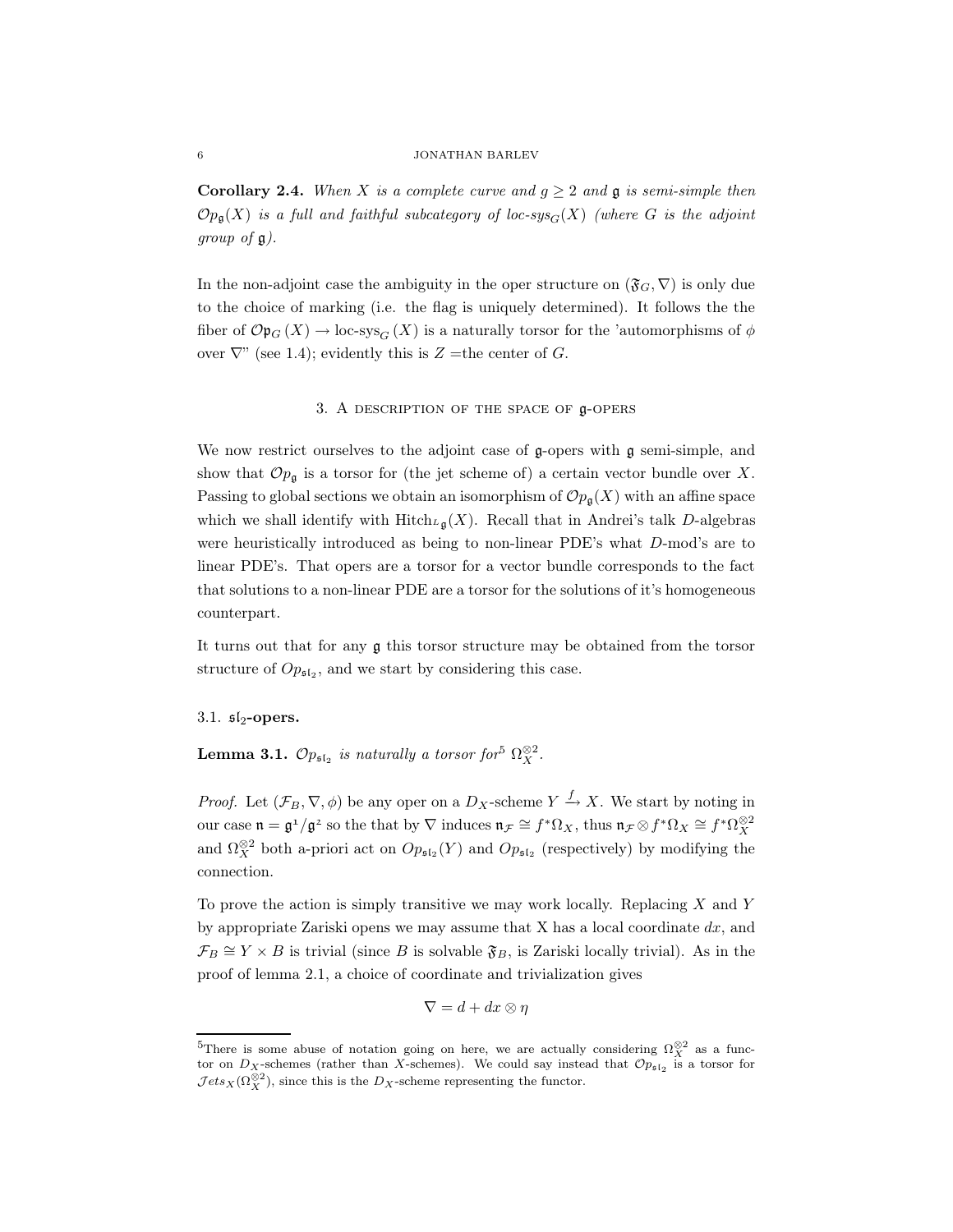#### 6 JONATHAN BARLEV

**Corollary 2.4.** When X is a complete curve and  $g \geq 2$  and **g** is semi-simple then  $\mathcal{O}_{p_{\mathfrak{a}}}(X)$  is a full and faithful subcategory of loc-sys<sub>G</sub>(X) (where G is the adjoint group of  $\mathfrak{g}$ ).

In the non-adjoint case the ambiguity in the oper structure on  $(\mathfrak{F}_G, \nabla)$  is only due to the choice of marking (i.e. the flag is uniquely determined). It follows the the fiber of  $\mathcal{O}p_G(X) \to \text{loc-sys}_G(X)$  is a naturally torsor for the 'automorphisms of  $\phi$ over  $\nabla$ " (see 1.4); evidently this is Z = the center of G.

### 3. A description of the space of g-opers

We now restrict ourselves to the adjoint case of g-opers with g semi-simple, and show that  $\mathcal{O}_{\mathcal{P}_{\mathfrak{g}}}$  is a torsor for (the jet scheme of) a certain vector bundle over X. Passing to global sections we obtain an isomorphism of  $\mathcal{O}p_{\mathfrak{g}}(X)$  with an affine space which we shall identify with  $Hitch_{\mathcal{L}_{\mathfrak{g}}}(X)$ . Recall that in Andrei's talk D-algebras were heuristically introduced as being to non-linear PDE's what D-mod's are to linear PDE's. That opers are a torsor for a vector bundle corresponds to the fact that solutions to a non-linear PDE are a torsor for the solutions of it's homogeneous counterpart.

It turns out that for any g this torsor structure may be obtained from the torsor structure of  $Op_{5l_2}$ , and we start by considering this case.

## $3.1.$   $\mathfrak{sl}_2$ -opers.

**Lemma 3.1.**  $\mathcal{O}p_{\mathfrak{sl}_2}$  is naturally a torsor for<sup>5</sup>  $\Omega_X^{\otimes 2}$ .

*Proof.* Let  $(\mathcal{F}_B, \nabla, \phi)$  be any oper on a  $D_X$ -scheme  $Y \xrightarrow{f} X$ . We start by noting in our case  $\mathfrak{n} = \mathfrak{g}^1/\mathfrak{g}^2$  so the that by  $\nabla$  induces  $\mathfrak{n}_{\mathcal{F}} \cong f^* \Omega_X$ , thus  $\mathfrak{n}_{\mathcal{F}} \otimes f^* \Omega_X \cong f^* \Omega_X^{\otimes 2}$ and  $\Omega_X^{\otimes 2}$  both a-priori act on  $Op_{\mathfrak{sl}_2}(Y)$  and  $Op_{\mathfrak{sl}_2}$  (respectively) by modifying the connection.

To prove the action is simply transitive we may work locally. Replacing  $X$  and  $Y$ by appropriate Zariski opens we may assume that X has a local coordinate  $dx$ , and  $\mathcal{F}_B \cong Y \times B$  is trivial (since B is solvable  $\mathfrak{F}_B$ , is Zariski locally trivial). As in the proof of lemma 2.1, a choice of coordinate and trivialization gives

$$
\nabla = d + dx \otimes \eta
$$

<sup>&</sup>lt;sup>5</sup>There is some abuse of notation going on here, we are actually considering  $\Omega_X^{\otimes 2}$  as a functor on  $D_X$ -schemes (rather than X-schemes). We could say instead that  $\mathcal{O}p_{\mathfrak{sl}_2}$  is a torsor for  $\mathcal{J}ets_X(\Omega_X^{\otimes 2})$ , since this is the  $D_X$ -scheme representing the functor.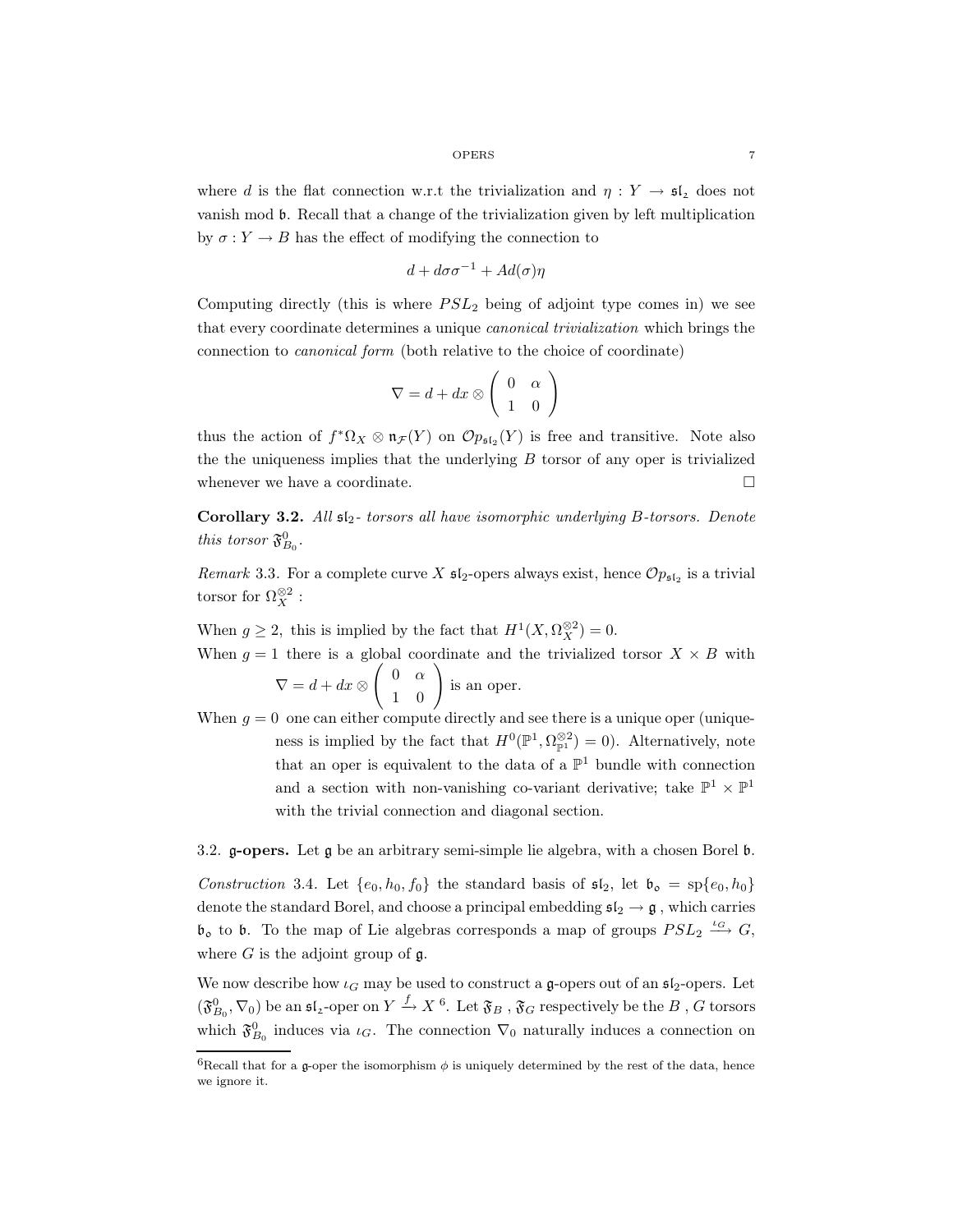where d is the flat connection w.r.t the trivialization and  $\eta: Y \to \mathfrak{sl}_2$  does not vanish mod b. Recall that a change of the trivialization given by left multiplication by  $\sigma: Y \to B$  has the effect of modifying the connection to

$$
d + d\sigma\sigma^{-1} + Ad(\sigma)\eta
$$

Computing directly (this is where  $PSL_2$  being of adjoint type comes in) we see that every coordinate determines a unique canonical trivialization which brings the connection to canonical form (both relative to the choice of coordinate)

$$
\nabla = d + dx \otimes \left( \begin{array}{cc} 0 & \alpha \\ 1 & 0 \end{array} \right)
$$

thus the action of  $f^* \Omega_X \otimes \mathfrak{n}_{\mathcal{F}}(Y)$  on  $\mathcal{O}p_{\mathfrak{sl}_2}(Y)$  is free and transitive. Note also the the uniqueness implies that the underlying  $B$  torsor of any oper is trivialized whenever we have a coordinate.  $\Box$ 

Corollary 3.2. All  $s_{2}$ - torsors all have isomorphic underlying B-torsors. Denote this torsor  $\mathfrak{F}^0_{B_0}$ .

Remark 3.3. For a complete curve X  $\mathfrak{sl}_2$ -opers always exist, hence  $\mathcal{O}p_{\mathfrak{sl}_2}$  is a trivial torsor for  $\Omega_X^{\otimes 2}$  :

When  $g \ge 2$ , this is implied by the fact that  $H^1(X, \Omega_X^{\otimes 2}) = 0$ .

- When  $g = 1$  there is a global coordinate and the trivialized torsor  $X \times B$  with  $\nabla = d + dx \otimes$  $\left(\begin{array}{cc} 0 & \alpha \\ 1 & 0 \end{array}\right)$ is an oper.
- When  $g = 0$  one can either compute directly and see there is a unique oper (uniqueness is implied by the fact that  $H^0(\mathbb{P}^1, \Omega_{\mathbb{P}^1}^{\otimes 2}) = 0$ . Alternatively, note that an oper is equivalent to the data of a  $\mathbb{P}^1$  bundle with connection and a section with non-vanishing co-variant derivative; take  $\mathbb{P}^1 \times \mathbb{P}^1$ with the trivial connection and diagonal section.

3.2. g-opers. Let g be an arbitrary semi-simple lie algebra, with a chosen Borel b.

Construction 3.4. Let  $\{e_0, h_0, f_0\}$  the standard basis of  $\mathfrak{sl}_2$ , let  $\mathfrak{b}_o = sp\{e_0, h_0\}$ denote the standard Borel, and choose a principal embedding  $\mathfrak{sl}_2 \to \mathfrak{g}$ , which carries  $\mathfrak{b}_o$  to  $\mathfrak{b}$ . To the map of Lie algebras corresponds a map of groups  $PSL_2 \stackrel{\iota_G}{\longrightarrow} G$ , where  $G$  is the adjoint group of  $\mathfrak g$ .

We now describe how  $\iota_G$  may be used to construct a g-opers out of an  $\mathfrak{sl}_2$ -opers. Let  $(\mathfrak{F}^0_{B_0}, \nabla_0)$  be an  $\mathfrak{sl}_2$ -oper on  $Y \xrightarrow{f} X$ <sup>6</sup>. Let  $\mathfrak{F}_B$  ,  $\mathfrak{F}_G$  respectively be the  $B$  ,  $G$  torsors which  $\mathfrak{F}_{B_0}^0$  induces via  $\iota_G$ . The connection  $\nabla_0$  naturally induces a connection on

<sup>&</sup>lt;sup>6</sup>Recall that for a g-oper the isomorphism  $\phi$  is uniquely determined by the rest of the data, hence we ignore it.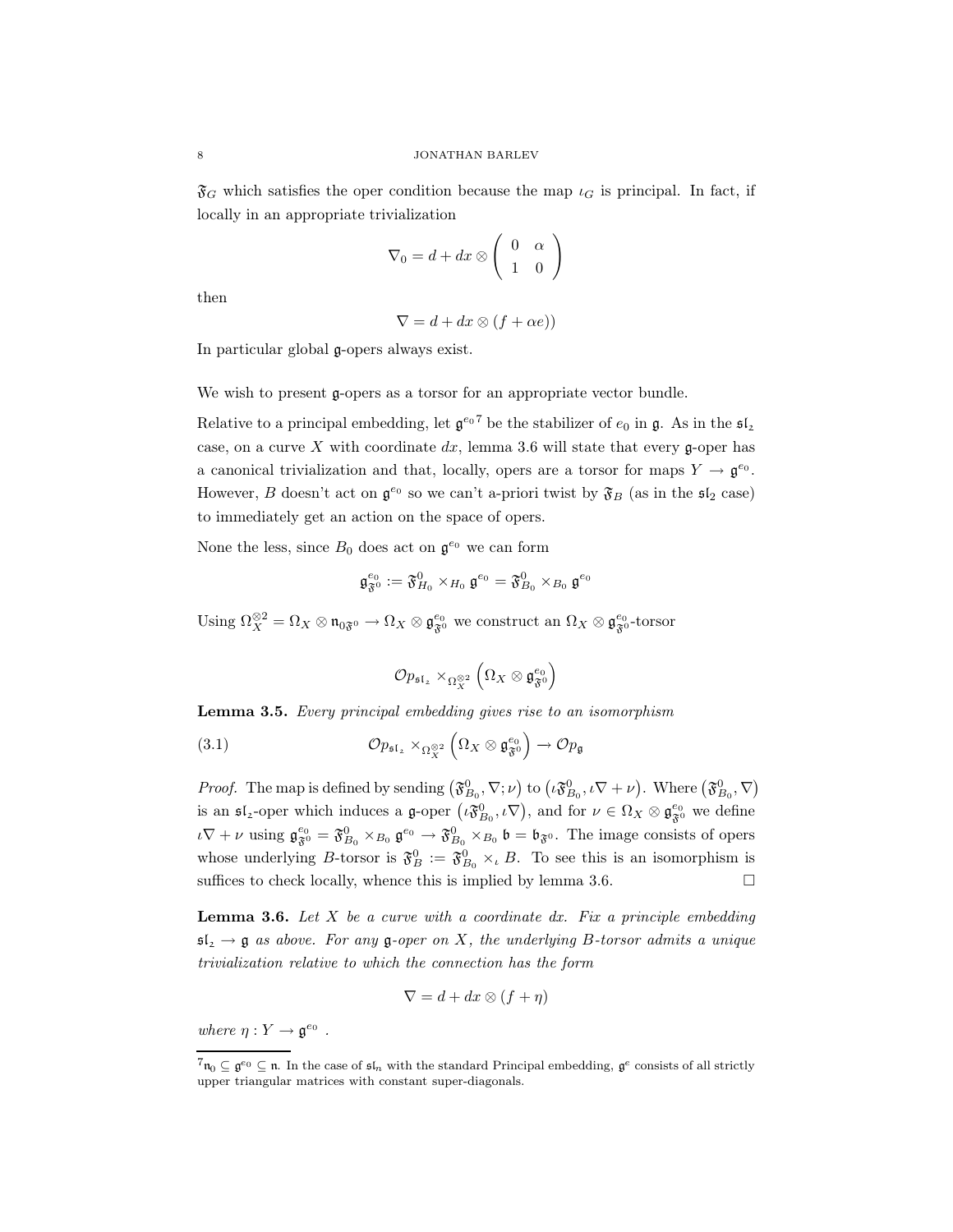$\mathfrak{F}_G$  which satisfies the oper condition because the map  $\iota_G$  is principal. In fact, if locally in an appropriate trivialization

$$
\nabla_0 = d + dx \otimes \left( \begin{array}{cc} 0 & \alpha \\ 1 & 0 \end{array} \right)
$$

then

$$
\nabla = d + dx \otimes (f + \alpha e))
$$

In particular global g-opers always exist.

We wish to present g-opers as a torsor for an appropriate vector bundle.

Relative to a principal embedding, let  $\mathfrak{g}^{e_0}$  be the stabilizer of  $e_0$  in g. As in the  $\mathfrak{sl}_2$ case, on a curve X with coordinate  $dx$ , lemma 3.6 will state that every g-oper has a canonical trivialization and that, locally, opers are a torsor for maps  $Y \to \mathfrak{g}^{e_0}$ . However, B doesn't act on  $\mathfrak{g}^{e_0}$  so we can't a-priori twist by  $\mathfrak{F}_B$  (as in the  $\mathfrak{sl}_2$  case) to immediately get an action on the space of opers.

None the less, since  $B_0$  does act on  $\mathfrak{g}^{e_0}$  we can form

$$
\mathfrak{g}_{\mathfrak{F}^0}^{e_0}:=\mathfrak{F}^0_{H_0}\times_{H_0}\mathfrak{g}^{e_0}=\mathfrak{F}^0_{B_0}\times_{B_0}\mathfrak{g}^{e_0}
$$

Using  $\Omega_X^{\otimes 2} = \Omega_X \otimes \mathfrak{n}_{0\mathfrak{F}^0} \to \Omega_X \otimes \mathfrak{g}_{\mathfrak{F}^0}^{e_0}$  we construct an  $\Omega_X \otimes \mathfrak{g}_{\mathfrak{F}^0}^{e_0}$ -torsor

$$
\mathcal{O}p_{\mathfrak{s}\mathfrak{l}_z}\times_{\Omega_X^{\otimes 2}}\left(\Omega_X\otimes\mathfrak{g}_{\mathfrak{F}^0}^{e_0}\right)
$$

Lemma 3.5. Every principal embedding gives rise to an isomorphism

(3.1) 
$$
\mathcal{O}p_{\mathfrak{s}\mathfrak{l}_2} \times_{\Omega_X^{\otimes 2}} \left(\Omega_X \otimes \mathfrak{g}_{\mathfrak{F}^0}^{e_0}\right) \to \mathcal{O}p_{\mathfrak{g}}
$$

*Proof.* The map is defined by sending  $(\mathfrak{F}_{B_0}^0, \nabla; \nu)$  to  $(\iota \mathfrak{F}_{B_0}^0, \iota \nabla + \nu)$ . Where  $(\mathfrak{F}_{B_0}^0, \nabla)$ is an  $\mathfrak{sl}_2$ -oper which induces a  $\mathfrak{g}$ -oper  $(\iota \mathfrak{F}^0_{B_0}, \iota \nabla)$ , and for  $\nu \in \Omega_X \otimes \mathfrak{g}_{\mathfrak{F}^0}^{e_0}$  we define  $\iota\nabla + \nu$  using  $\mathfrak{g}_{\mathfrak{F}^0}^{e_0} = \mathfrak{F}_{B_0}^0 \times_{B_0} \mathfrak{g}^{e_0} \to \mathfrak{F}_{B_0}^0 \times_{B_0} \mathfrak{b} = \mathfrak{b}_{\mathfrak{F}^0}$ . The image consists of opers whose underlying B-torsor is  $\mathfrak{F}_B^0 := \mathfrak{F}_{B_0}^0 \times_{\iota} B$ . To see this is an isomorphism is suffices to check locally, whence this is implied by lemma 3.6.  $\Box$ 

**Lemma 3.6.** Let  $X$  be a curve with a coordinate dx. Fix a principle embedding  $\mathfrak{sl}_2 \to \mathfrak{g}$  as above. For any  $\mathfrak{g}\text{-}open$  on X, the underlying B-torsor admits a unique trivialization relative to which the connection has the form

$$
\nabla = d + dx \otimes (f + \eta)
$$

where  $\eta: Y \to \mathfrak{g}^{e_0}$ .

 $7_{n_0} \subseteq \mathfrak{g}^{e_0} \subseteq \mathfrak{n}$ . In the case of  $\mathfrak{sl}_n$  with the standard Principal embedding,  $\mathfrak{g}^e$  consists of all strictly upper triangular matrices with constant super-diagonals.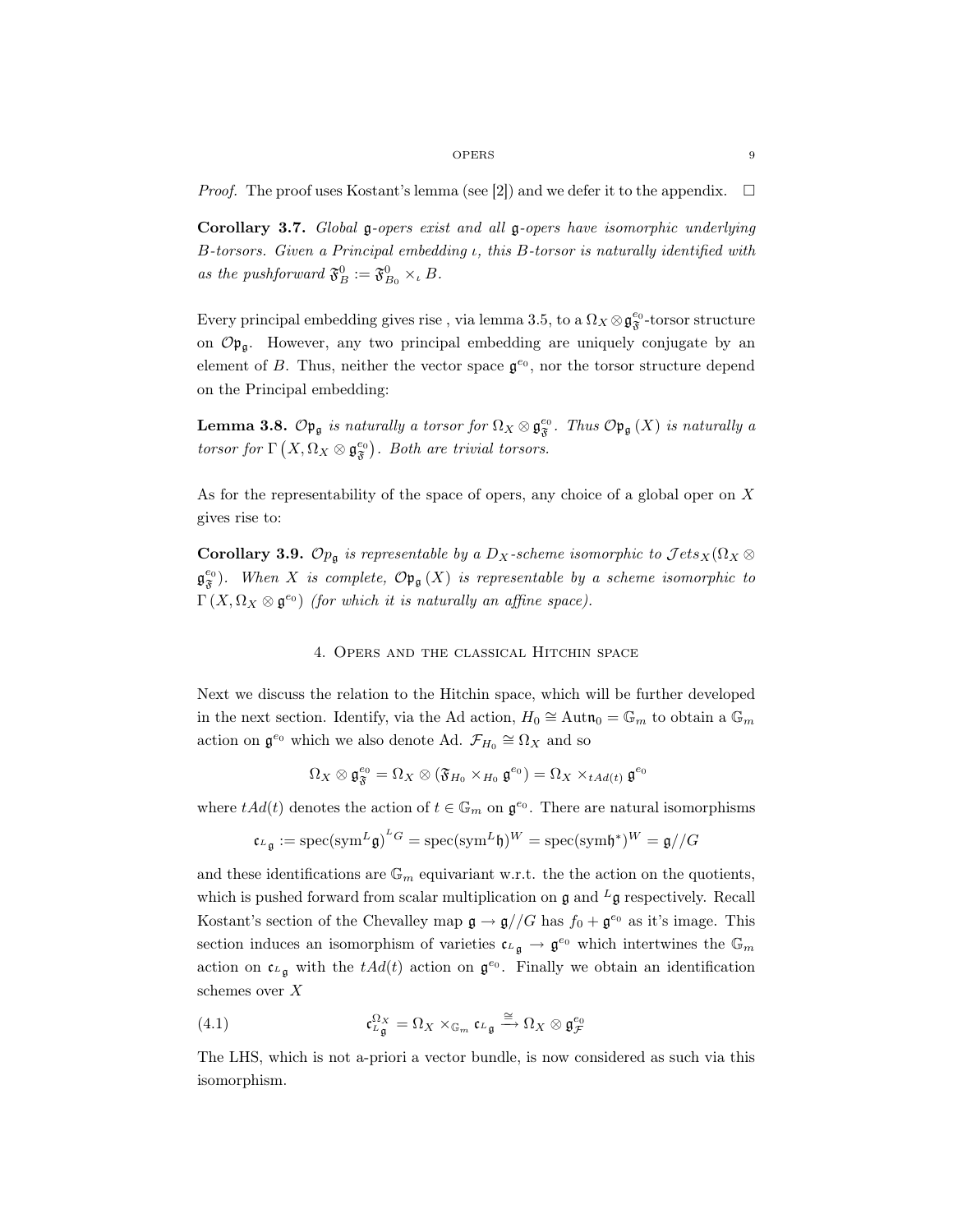*Proof.* The proof uses Kostant's lemma (see [2]) and we defer it to the appendix.  $\Box$ 

Corollary 3.7. Global g-opers exist and all g-opers have isomorphic underlying B-torsors. Given a Principal embedding ι, this B-torsor is naturally identified with as the pushforward  $\mathfrak{F}_B^0 := \mathfrak{F}_{B_0}^0 \times_b B$ .

Every principal embedding gives rise , via lemma 3.5, to a  $\Omega_X\otimes\mathfrak{g}^{e_0}_{\mathfrak{F}}$  -torsor structure on  $\mathcal{O}_{\mathfrak{p}_{\mathfrak{a}}}$ . However, any two principal embedding are uniquely conjugate by an element of B. Thus, neither the vector space  $\mathfrak{g}^{e_0}$ , nor the torsor structure depend on the Principal embedding:

**Lemma 3.8.**  $\mathcal{O} \mathfrak{p}_{\mathfrak{g}}$  is naturally a torsor for  $\Omega_X \otimes \mathfrak{g}_{\mathfrak{F}}^{e_0}$ . Thus  $\mathcal{O} \mathfrak{p}_{\mathfrak{g}}(X)$  is naturally a torsor for  $\Gamma\left(X,\Omega_X\otimes \mathfrak{g}^{e_0}_{\mathfrak{F}}\right)$ . Both are trivial torsors.

As for the representability of the space of opers, any choice of a global oper on X gives rise to:

**Corollary 3.9.**  $\mathcal{O}_{p_{\mathfrak{g}}}$  is representable by a  $D_X$ -scheme isomorphic to  $\mathcal{J}ets_X(\Omega_X \otimes$  $\mathfrak{g}^{e_0}_{\mathfrak{F}}$ . When X is complete,  $\mathcal{O} \mathfrak{p}_{\mathfrak{g}}(X)$  is representable by a scheme isomorphic to  $\Gamma(X, \Omega_X \otimes \mathfrak{g}^{e_0})$  (for which it is naturally an affine space).

# 4. Opers and the classical Hitchin space

Next we discuss the relation to the Hitchin space, which will be further developed in the next section. Identify, via the Ad action,  $H_0 \cong \text{Aut}\,\mathfrak{n}_0 = \mathbb{G}_m$  to obtain a  $\mathbb{G}_m$ action on  $\mathfrak{g}^{e_0}$  which we also denote Ad.  $\mathcal{F}_{H_0} \cong \Omega_X$  and so

$$
\Omega_X\otimes \mathfrak{g}_{\mathfrak{F}}^{e_0} = \Omega_X\otimes (\mathfrak{F}_{H_0}\times_{H_0}\mathfrak{g}^{e_0}) = \Omega_X\times_{tAd(t)}\mathfrak{g}^{e_0}
$$

where  $tAd(t)$  denotes the action of  $t \in \mathbb{G}_m$  on  $\mathfrak{g}^{e_0}$ . There are natural isomorphisms

$$
\mathfrak{c}_{L\mathfrak{g}} := \mathrm{spec}(\mathrm{sym}^L \mathfrak{g})^{L} = \mathrm{spec}(\mathrm{sym}^L \mathfrak{h})^W = \mathrm{spec}(\mathrm{sym} \mathfrak{h}^*)^W = \mathfrak{g} // G
$$

and these identifications are  $\mathbb{G}_m$  equivariant w.r.t. the the action on the quotients, which is pushed forward from scalar multiplication on  $\mathfrak g$  and  $^L\mathfrak g$  respectively. Recall Kostant's section of the Chevalley map  $\mathfrak{g} \to \mathfrak{g}/\mathfrak{G}$  has  $f_0 + \mathfrak{g}^{e_0}$  as it's image. This section induces an isomorphism of varieties  $\mathfrak{c}_{L_{\mathfrak{g}}} \to \mathfrak{g}^{e_0}$  which intertwines the  $\mathbb{G}_m$ action on  $\mathfrak{c}_{L_{\mathfrak{g}}}$  with the  $tAd(t)$  action on  $\mathfrak{g}^{e_0}$ . Finally we obtain an identification schemes over X

(4.1) 
$$
\mathfrak{c}_{L\mathfrak{g}}^{\Omega_X} = \Omega_X \times_{\mathbb{G}_m} \mathfrak{c}_{L\mathfrak{g}} \xrightarrow{\cong} \Omega_X \otimes \mathfrak{g}_{\mathcal{F}}^{e_0}
$$

The LHS, which is not a-priori a vector bundle, is now considered as such via this isomorphism.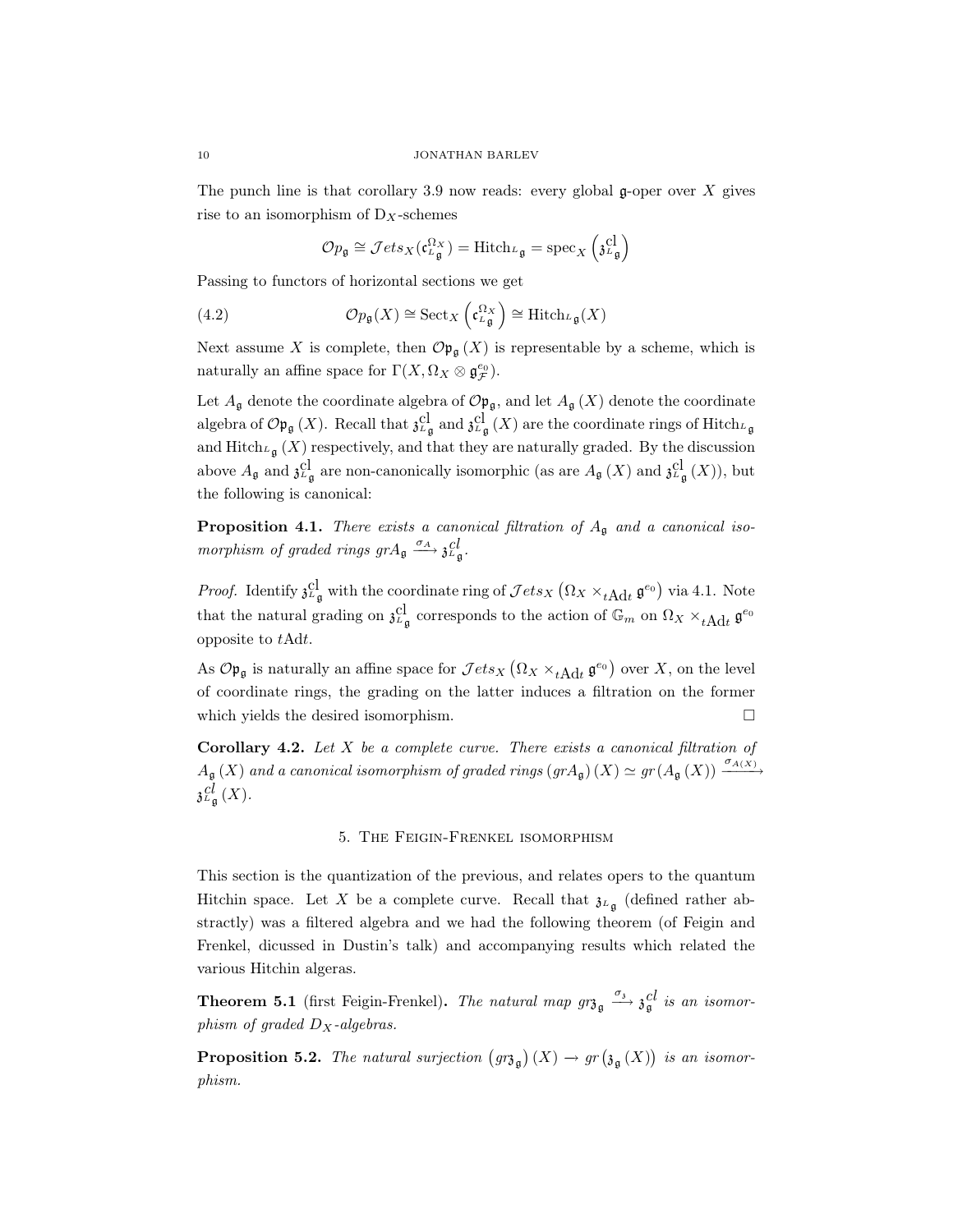The punch line is that corollary 3.9 now reads: every global  $\mathfrak{g}$ -oper over X gives rise to an isomorphism of  $D_X$ -schemes

$$
\mathcal{O}p_{\mathfrak{g}} \cong \mathcal{J}ets_X(\mathfrak{c}^{\Omega_X}_{\mathfrak{L} \mathfrak{g}}) = \text{Hitch}_{\mathfrak{L} \mathfrak{g}} = \text{spec}_X \left( \mathfrak{z}^{\text{cl}}_{\mathfrak{L} \mathfrak{g}} \right)
$$

Passing to functors of horizontal sections we get

(4.2) 
$$
\mathcal{O}_{p_{\mathfrak{g}}}(X) \cong \text{Sect}_X \left( \mathfrak{c}^{\Omega_X}_{L_{\mathfrak{g}}} \right) \cong \text{Hitch}_{L_{\mathfrak{g}}}(X)
$$

Next assume X is complete, then  $\mathcal{O}_{\mathfrak{p}_{\mathfrak{g}}}(X)$  is representable by a scheme, which is naturally an affine space for  $\Gamma(X, \Omega_X \otimes \mathfrak{g}_{\mathcal{F}}^{e_0})$ .

Let  $A_{\mathfrak{g}}$  denote the coordinate algebra of  $\mathcal{O}_{\mathfrak{p}_{\mathfrak{g}}}$ , and let  $A_{\mathfrak{g}}(X)$  denote the coordinate algebra of  $\mathcal{O} \mathfrak{p}_{\mathfrak{g}}(X)$ . Recall that  $\mathfrak{z}^{cl}_{L_{\mathfrak{g}}}$  and  $\mathfrak{z}^{cl}_{L_{\mathfrak{g}}}(X)$  are the coordinate rings of Hitch $L_{\mathfrak{g}}$ and Hitch<sub>L<sub>g</sub></sub>  $(X)$  respectively, and that they are naturally graded. By the discussion above  $A_{\mathfrak{g}}$  and  $\mathfrak{z}^{cl}_{\mathfrak{g}}$  are non-canonically isomorphic (as are  $A_{\mathfrak{g}}(X)$  and  $\mathfrak{z}^{cl}_{\mathfrak{g}}(X)$ ), but the following is canonical:

**Proposition 4.1.** There exists a canonical filtration of  $A_{\mathfrak{g}}$  and a canonical isomorphism of graded rings  $grA_{\mathfrak{g}} \xrightarrow{\sigma_A} \mathfrak{z}_{L\mathfrak{g}}^{\mathcal{C}}$ .

*Proof.* Identify  $\mathfrak{z}_{\mathfrak{L}}^{cl}$  with the coordinate ring of  $\mathcal{J}ets_X(\Omega_X \times_{t \to id} \mathfrak{g}^{e_0})$  via 4.1. Note that the natural grading on  $\mathfrak{z}_{\ell\mathfrak{g}}^{cl}$  corresponds to the action of  $\mathbb{G}_m$  on  $\Omega_X \times_{t \to \ell} \mathfrak{g}^{e_0}$ opposite to tAdt.

As  $\mathcal{O} \mathfrak{p}_{\mathfrak{g}}$  is naturally an affine space for  $\mathcal{J}ets_X(\Omega_X \times_{t \to id} \mathfrak{g}^{e_0})$  over X, on the level of coordinate rings, the grading on the latter induces a filtration on the former which yields the desired isomorphism.  $\Box$ 

Corollary 4.2. Let  $X$  be a complete curve. There exists a canonical filtration of  $A_{\frak{g}}(X)$  and a canonical isomorphism of graded rings  $(grA_{\frak{g}})(X) \simeq gr(A_{\frak{g}}(X)) \xrightarrow{\sigma_{A(X)}}$  $\mathfrak{z}_{\mathfrak{L}_{\mathfrak{g}}}^{cl}(X).$ 

### 5. The Feigin-Frenkel isomorphism

This section is the quantization of the previous, and relates opers to the quantum Hitchin space. Let X be a complete curve. Recall that  $\mathfrak{z}_{L_{\mathfrak{a}}}$  (defined rather abstractly) was a filtered algebra and we had the following theorem (of Feigin and Frenkel, dicussed in Dustin's talk) and accompanying results which related the various Hitchin algeras.

**Theorem 5.1** (first Feigin-Frenkel). The natural map  $gr_{\mathfrak{g}} \xrightarrow{\sigma_{\mathfrak{g}}} \mathfrak{z}_{\mathfrak{g}}^{cl}$  is an isomorphism of graded  $D_X$ -algebras.

**Proposition 5.2.** The natural surjection  $(gr_{\mathfrak{g}})(X) \to gr(\mathfrak{z}_{\mathfrak{g}}(X))$  is an isomorphism.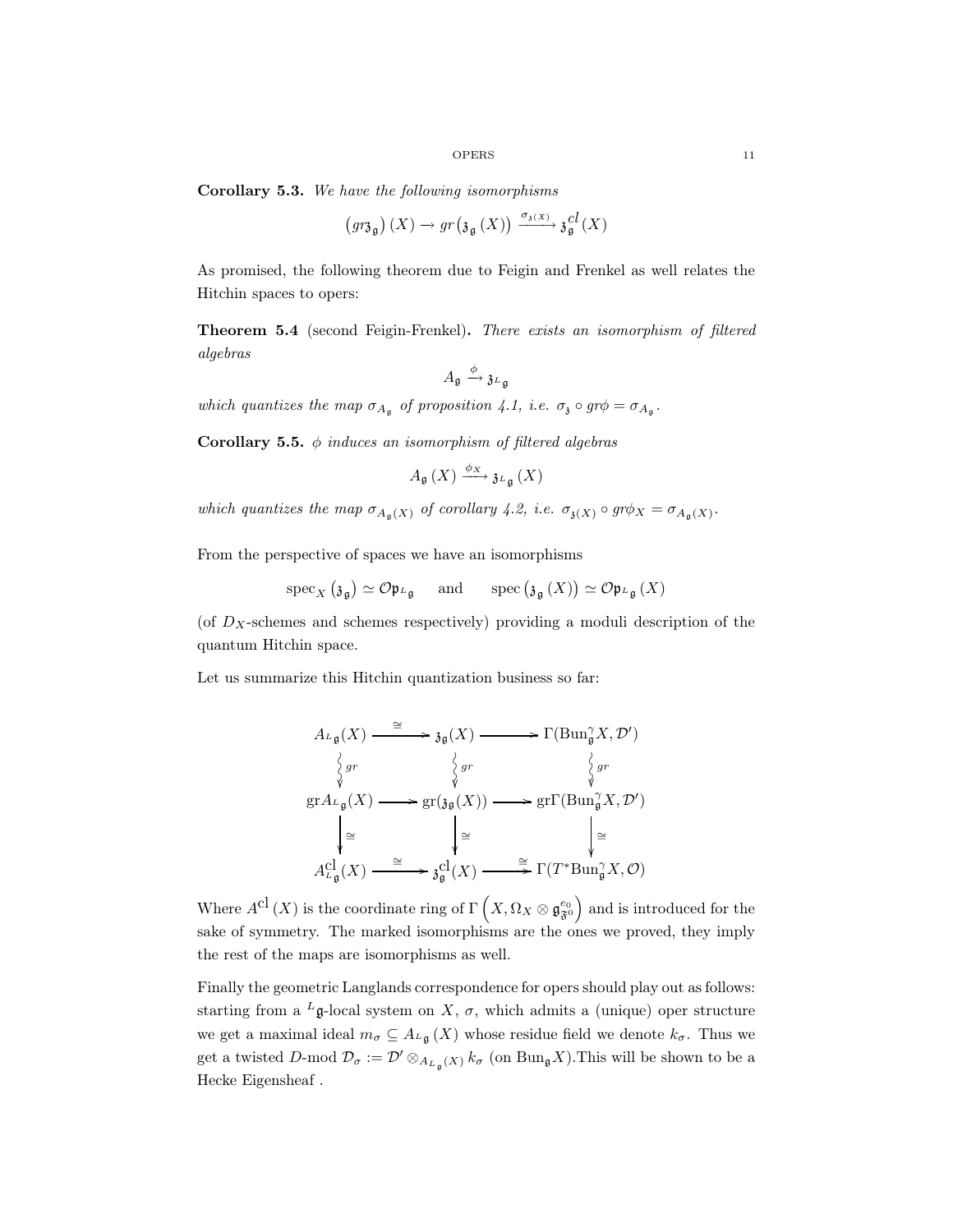Corollary 5.3. We have the following isomorphisms

$$
\left( g r \mathfrak{z}_{\mathfrak{g}} \right)(X) \to gr\left( \mathfrak{z}_{\mathfrak{g}} \left( X \right) \right) \xrightarrow{\sigma_{\mathfrak{z}(\mathfrak{X})}} \mathfrak{z}_{\mathfrak{g}}^{cl} \left( X \right)
$$

As promised, the following theorem due to Feigin and Frenkel as well relates the Hitchin spaces to opers:

Theorem 5.4 (second Feigin-Frenkel). There exists an isomorphism of filtered algebras

$$
A_{\mathfrak{g}}\xrightarrow{\phi} \mathfrak{z}_{L_{\mathfrak{g}}}
$$

which quantizes the map  $\sigma_{A_{\mathfrak{g}}}$  of proposition 4.1, i.e.  $\sigma_{\mathfrak{g}} \circ gr \phi = \sigma_{A_{\mathfrak{g}}}$ .

**Corollary 5.5.**  $\phi$  induces an isomorphism of filtered algebras

$$
A_{\mathfrak{g}}\left(X\right) \xrightarrow{\phi_X} \mathfrak{z}_{L_{\mathfrak{g}}}\left(X\right)
$$

which quantizes the map  $\sigma_{A_{\mathfrak{g}}(X)}$  of corollary 4.2, i.e.  $\sigma_{\mathfrak{z}(X)} \circ gr\phi_X = \sigma_{A_{\mathfrak{g}}(X)}$ .

From the perspective of spaces we have an isomorphisms

$$
\operatorname{spec}_{X} (\mathfrak{z}_{\mathfrak{g}}) \simeq \mathcal{O} \mathfrak{p}_{\mathfrak{L}_{\mathfrak{g}}} \quad \text{and} \quad \operatorname{spec} (\mathfrak{z}_{\mathfrak{g}} (X)) \simeq \mathcal{O} \mathfrak{p}_{\mathfrak{L}_{\mathfrak{g}}}(X)
$$

(of  $D_X$ -schemes and schemes respectively) providing a moduli description of the quantum Hitchin space.

Let us summarize this Hitchin quantization business so far:

$$
A_{L_{\mathfrak{g}}}(X) \xrightarrow{\cong} \mathfrak{z}_{\mathfrak{g}}(X) \longrightarrow \Gamma(\mathrm{Bun}_{\mathfrak{g}}^{\gamma}X, \mathcal{D}')
$$
  
\n
$$
\begin{array}{c}\n\downarrow_{gr} \\
\downarrow_{gr} \\
\operatorname{gr} A_{L_{\mathfrak{g}}}(X) \longrightarrow \operatorname{gr}(\mathfrak{z}_{\mathfrak{g}}(X)) \longrightarrow \operatorname{gr} \Gamma(\mathrm{Bun}_{\mathfrak{g}}^{\gamma}X, \mathcal{D}')
$$
  
\n
$$
\downarrow_{\cong} \qquad \qquad \downarrow_{\cong} \\
A_{L_{\mathfrak{g}}^{\gamma}}^{C_1^{\gamma}}(X) \xrightarrow{\cong} \mathfrak{z}_{\mathfrak{g}}^{C_1^{\gamma}}(X) \longrightarrow \operatorname{gr} \Gamma(T^* \mathrm{Bun}_{\mathfrak{g}}^{\gamma}X, \mathcal{O})\n\end{array}
$$

Where  $A^{cl}(X)$  is the coordinate ring of  $\Gamma\left(X, \Omega_X \otimes \mathfrak{g}_{\mathfrak{F}^0}^{e_0}\right)$  and is introduced for the sake of symmetry. The marked isomorphisms are the ones we proved, they imply the rest of the maps are isomorphisms as well.

Finally the geometric Langlands correspondence for opers should play out as follows: starting from a <sup>L</sup>g-local system on X,  $\sigma$ , which admits a (unique) oper structure we get a maximal ideal  $m_{\sigma} \subseteq A_{L_{\mathfrak{g}}}(X)$  whose residue field we denote  $k_{\sigma}$ . Thus we get a twisted D-mod  $\mathcal{D}_{\sigma} := \mathcal{D}' \otimes_{A_{L_{\sigma}}(X)} k_{\sigma}$  (on  $\text{Bun}_{\mathfrak{g}}X$ ). This will be shown to be a Hecke Eigensheaf .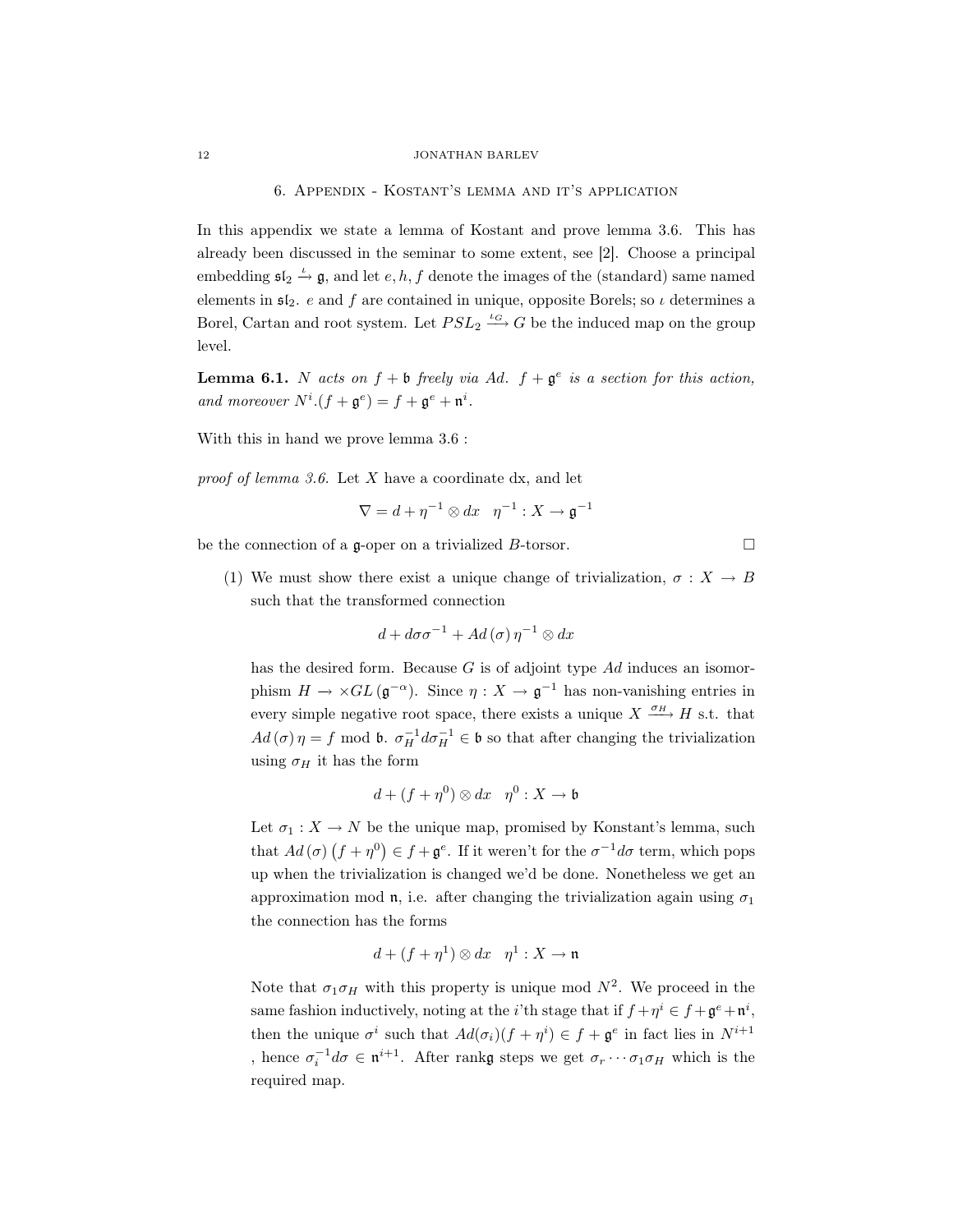#### 6. Appendix - Kostant's lemma and it's application

In this appendix we state a lemma of Kostant and prove lemma 3.6. This has already been discussed in the seminar to some extent, see [2]. Choose a principal embedding  $\mathfrak{sl}_2 \stackrel{\iota}{\rightarrow} \mathfrak{g}$ , and let  $e, h, f$  denote the images of the (standard) same named elements in  $\mathfrak{sl}_2$ . e and f are contained in unique, opposite Borels; so  $\iota$  determines a Borel, Cartan and root system. Let  $PSL_2 \stackrel{\iota_G}{\longrightarrow} G$  be the induced map on the group level.

**Lemma 6.1.** N acts on  $f + b$  freely via Ad.  $f + g^e$  is a section for this action, and moreover  $N^i.(f + \mathfrak{g}^e) = f + \mathfrak{g}^e + \mathfrak{n}^i$ .

With this in hand we prove lemma 3.6 :

proof of lemma 3.6. Let  $X$  have a coordinate dx, and let

$$
\nabla = d + \eta^{-1} \otimes dx \quad \eta^{-1} : X \to \mathfrak{g}^{-1}
$$

be the connection of a g-oper on a trivialized  $B$ -torsor.  $\Box$ 

(1) We must show there exist a unique change of trivialization,  $\sigma : X \to B$ such that the transformed connection

$$
d + d\sigma\sigma^{-1} + Ad(\sigma)\,\eta^{-1}\otimes dx
$$

has the desired form. Because  $G$  is of adjoint type  $Ad$  induces an isomorphism  $H \to \times GL(\mathfrak{g}^{-\alpha})$ . Since  $\eta : X \to \mathfrak{g}^{-1}$  has non-vanishing entries in every simple negative root space, there exists a unique  $X \xrightarrow{\sigma_H} H$  s.t. that  $Ad(\sigma)\eta = f \mod \mathfrak{b}$ .  $\sigma_H^{-1} d\sigma_H^{-1} \in \mathfrak{b}$  so that after changing the trivialization using  $\sigma_H$  it has the form

$$
d + (f + \eta^0) \otimes dx \quad \eta^0: X \to \mathfrak{b}
$$

Let  $\sigma_1: X \to N$  be the unique map, promised by Konstant's lemma, such that  $Ad(\sigma)(f + \eta^0) \in f + \mathfrak{g}^e$ . If it weren't for the  $\sigma^{-1}d\sigma$  term, which pops up when the trivialization is changed we'd be done. Nonetheless we get an approximation mod  $\mathfrak{n}$ , i.e. after changing the trivialization again using  $\sigma_1$ the connection has the forms

$$
d + (f + \eta^1) \otimes dx \quad \eta^1: X \to \mathfrak{n}
$$

Note that  $\sigma_1 \sigma_H$  with this property is unique mod  $N^2$ . We proceed in the same fashion inductively, noting at the *i*'th stage that if  $f + \eta^i \in f + \mathfrak{g}^e + \mathfrak{n}^i$ , then the unique  $\sigma^i$  such that  $Ad(\sigma_i)(f + \eta^i) \in f + \mathfrak{g}^e$  in fact lies in  $N^{i+1}$ , hence  $\sigma_i^{-1}d\sigma \in \mathfrak{n}^{i+1}$ . After rankg steps we get  $\sigma_r \cdots \sigma_1 \sigma_H$  which is the required map.